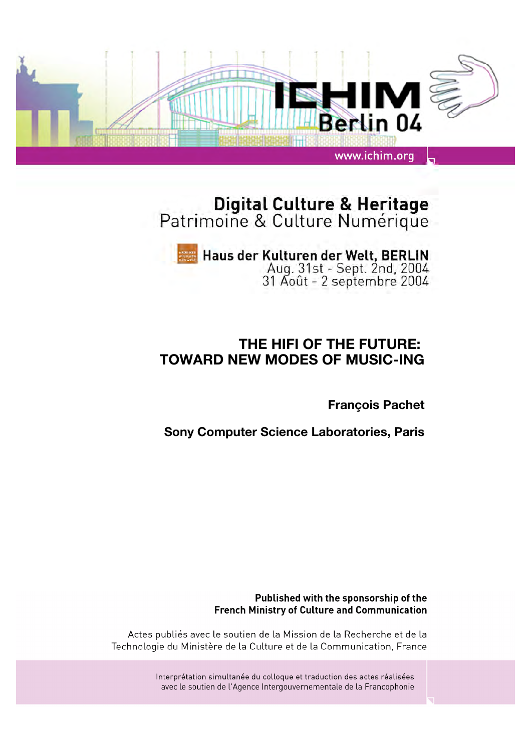

# Digital Culture & Heritage<br>Patrimoine & Culture Numérique

# Haus der Kulturen der Welt, BERLIN<br>Aug. 31st - Sept. 2nd, 2004<br>31 Août - 2 septembre 2004

# **THE HIFI OF THE FUTURE: TOWARD NEW MODES OF MUSIC-ING**

**François Pachet**

**Sony Computer Science Laboratories, Paris**

Published with the sponsorship of the **French Ministry of Culture and Communication** 

Actes publiés avec le soutien de la Mission de la Recherche et de la Technologie du Ministère de la Culture et de la Communication, France

> Interprétation simultanée du colloque et traduction des actes réalisées avec le soutien de l'Agence Intergouvernementale de la Francophonie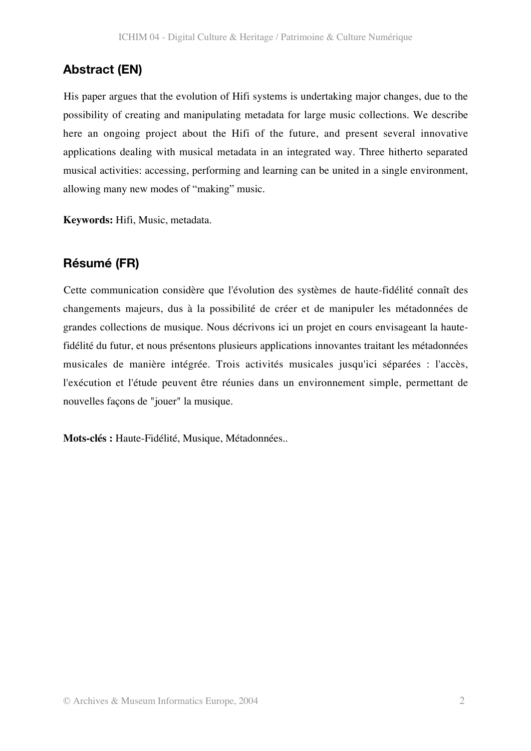# **Abstract (EN)**

His paper argues that the evolution of Hifi systems is undertaking major changes, due to the possibility of creating and manipulating metadata for large music collections. We describe here an ongoing project about the Hifi of the future, and present several innovative applications dealing with musical metadata in an integrated way. Three hitherto separated musical activities: accessing, performing and learning can be united in a single environment, allowing many new modes of "making" music.

**Keywords:** Hifi, Music, metadata.

### **Résumé (FR)**

Cette communication considère que l'évolution des systèmes de haute-fidélité connaît des changements majeurs, dus à la possibilité de créer et de manipuler les métadonnées de grandes collections de musique. Nous décrivons ici un projet en cours envisageant la hautefidélité du futur, et nous présentons plusieurs applications innovantes traitant les métadonnées musicales de manière intégrée. Trois activités musicales jusqu'ici séparées : l'accès, l'exécution et l'étude peuvent être réunies dans un environnement simple, permettant de nouvelles façons de "jouer" la musique.

**Mots-clés :** Haute-Fidélité, Musique, Métadonnées..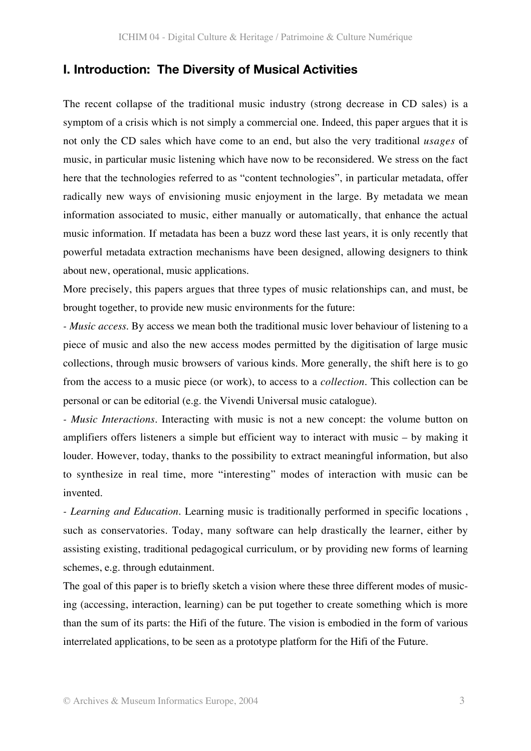#### **I. Introduction: The Diversity of Musical Activities**

The recent collapse of the traditional music industry (strong decrease in CD sales) is a symptom of a crisis which is not simply a commercial one. Indeed, this paper argues that it is not only the CD sales which have come to an end, but also the very traditional *usages* of music, in particular music listening which have now to be reconsidered. We stress on the fact here that the technologies referred to as "content technologies", in particular metadata, offer radically new ways of envisioning music enjoyment in the large. By metadata we mean information associated to music, either manually or automatically, that enhance the actual music information. If metadata has been a buzz word these last years, it is only recently that powerful metadata extraction mechanisms have been designed, allowing designers to think about new, operational, music applications.

More precisely, this papers argues that three types of music relationships can, and must, be brought together, to provide new music environments for the future:

*- Music access*. By access we mean both the traditional music lover behaviour of listening to a piece of music and also the new access modes permitted by the digitisation of large music collections, through music browsers of various kinds. More generally, the shift here is to go from the access to a music piece (or work), to access to a *collection*. This collection can be personal or can be editorial (e.g. the Vivendi Universal music catalogue).

*- Music Interactions.* Interacting with music is not a new concept: the volume button on amplifiers offers listeners a simple but efficient way to interact with music – by making it louder. However, today, thanks to the possibility to extract meaningful information, but also to synthesize in real time, more "interesting" modes of interaction with music can be invented.

*- Learning and Education.* Learning music is traditionally performed in specific locations , such as conservatories. Today, many software can help drastically the learner, either by assisting existing, traditional pedagogical curriculum, or by providing new forms of learning schemes, e.g. through edutainment.

The goal of this paper is to briefly sketch a vision where these three different modes of musicing (accessing, interaction, learning) can be put together to create something which is more than the sum of its parts: the Hifi of the future. The vision is embodied in the form of various interrelated applications, to be seen as a prototype platform for the Hifi of the Future.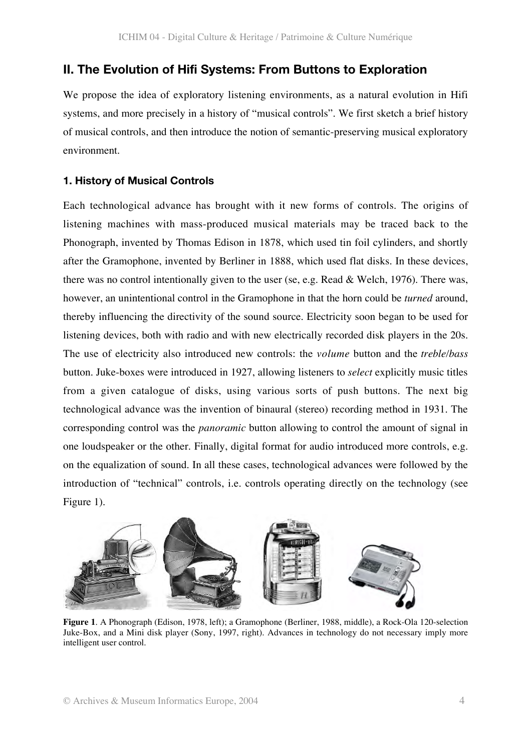#### **II. The Evolution of Hifi Systems: From Buttons to Exploration**

We propose the idea of exploratory listening environments, as a natural evolution in Hifi systems, and more precisely in a history of "musical controls". We first sketch a brief history of musical controls, and then introduce the notion of semantic-preserving musical exploratory environment.

#### **1. History of Musical Controls**

Each technological advance has brought with it new forms of controls. The origins of listening machines with mass-produced musical materials may be traced back to the Phonograph, invented by Thomas Edison in 1878, which used tin foil cylinders, and shortly after the Gramophone, invented by Berliner in 1888, which used flat disks. In these devices, there was no control intentionally given to the user (se, e.g. Read & Welch, 1976). There was, however, an unintentional control in the Gramophone in that the horn could be *turned* around, thereby influencing the directivity of the sound source. Electricity soon began to be used for listening devices, both with radio and with new electrically recorded disk players in the 20s. The use of electricity also introduced new controls: the *volume* button and the *treble/bass* button. Juke-boxes were introduced in 1927, allowing listeners to *select* explicitly music titles from a given catalogue of disks, using various sorts of push buttons. The next big technological advance was the invention of binaural (stereo) recording method in 1931. The corresponding control was the *panoramic* button allowing to control the amount of signal in one loudspeaker or the other. Finally, digital format for audio introduced more controls, e.g. on the equalization of sound. In all these cases, technological advances were followed by the introduction of "technical" controls, i.e. controls operating directly on the technology (see Figure 1).



**Figure 1**. A Phonograph (Edison, 1978, left); a Gramophone (Berliner, 1988, middle), a Rock-Ola 120-selection Juke-Box, and a Mini disk player (Sony, 1997, right). Advances in technology do not necessary imply more intelligent user control.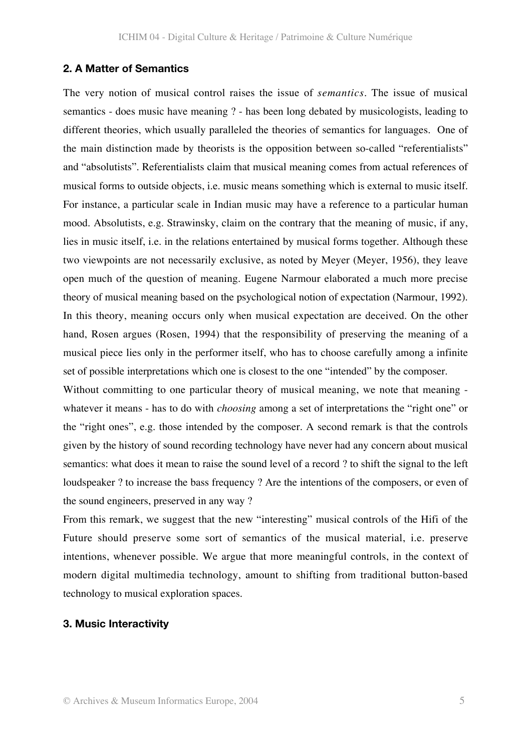#### **2. A Matter of Semantics**

The very notion of musical control raises the issue of *semantics*. The issue of musical semantics - does music have meaning ? - has been long debated by musicologists, leading to different theories, which usually paralleled the theories of semantics for languages. One of the main distinction made by theorists is the opposition between so-called "referentialists" and "absolutists". Referentialists claim that musical meaning comes from actual references of musical forms to outside objects, i.e. music means something which is external to music itself. For instance, a particular scale in Indian music may have a reference to a particular human mood. Absolutists, e.g. Strawinsky, claim on the contrary that the meaning of music, if any, lies in music itself, i.e. in the relations entertained by musical forms together. Although these two viewpoints are not necessarily exclusive, as noted by Meyer (Meyer, 1956), they leave open much of the question of meaning. Eugene Narmour elaborated a much more precise theory of musical meaning based on the psychological notion of expectation (Narmour, 1992). In this theory, meaning occurs only when musical expectation are deceived. On the other hand, Rosen argues (Rosen, 1994) that the responsibility of preserving the meaning of a musical piece lies only in the performer itself, who has to choose carefully among a infinite set of possible interpretations which one is closest to the one "intended" by the composer.

Without committing to one particular theory of musical meaning, we note that meaning whatever it means - has to do with *choosing* among a set of interpretations the "right one" or the "right ones", e.g. those intended by the composer. A second remark is that the controls given by the history of sound recording technology have never had any concern about musical semantics: what does it mean to raise the sound level of a record ? to shift the signal to the left loudspeaker ? to increase the bass frequency ? Are the intentions of the composers, or even of the sound engineers, preserved in any way ?

From this remark, we suggest that the new "interesting" musical controls of the Hifi of the Future should preserve some sort of semantics of the musical material, i.e. preserve intentions, whenever possible. We argue that more meaningful controls, in the context of modern digital multimedia technology, amount to shifting from traditional button-based technology to musical exploration spaces.

#### **3. Music Interactivity**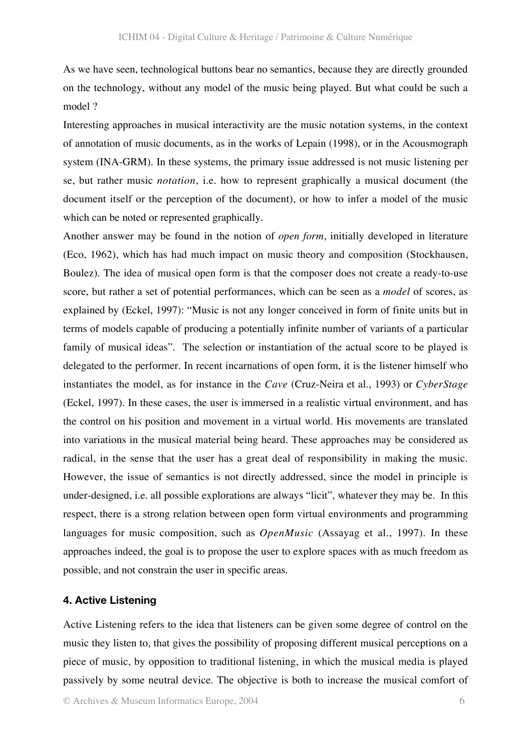As we have seen, technological buttons bear no semantics, because they are directly grounded on the technology, without any model of the music being played. But what could be such a model ?

Interesting approaches in musical interactivity are the music notation systems, in the context of annotation of music documents, as in the works of Lepain (1998), or in the Acousmograph system (INA-GRM). In these systems, the primary issue addressed is not music listening per se, but rather music *notation*, i.e. how to represent graphically a musical document (the document itself or the perception of the document), or how to infer a model of the music which can be noted or represented graphically.

Another answer may be found in the notion of *open form*, initially developed in literature (Eco, 1962), which has had much impact on music theory and composition (Stockhausen, Boulez). The idea of musical open form is that the composer does not create a ready-to-use score, but rather a set of potential performances, which can be seen as a *model* of scores, as explained by (Eckel, 1997): "Music is not any longer conceived in form of finite units but in terms of models capable of producing a potentially infinite number of variants of a particular family of musical ideas". The selection or instantiation of the actual score to be played is delegated to the performer. In recent incarnations of open form, it is the listener himself who instantiates the model, as for instance in the *Cave* (Cruz-Neira et al., 1993) or *CyberStage* (Eckel, 1997). In these cases, the user is immersed in a realistic virtual environment, and has the control on his position and movement in a virtual world. His movements are translated into variations in the musical material being heard. These approaches may be considered as radical, in the sense that the user has a great deal of responsibility in making the music. However, the issue of semantics is not directly addressed, since the model in principle is under-designed, i.e. all possible explorations are always "licit", whatever they may be. In this respect, there is a strong relation between open form virtual environments and programming languages for music composition, such as *OpenMusic* (Assayag et al., 1997). In these approaches indeed, the goal is to propose the user to explore spaces with as much freedom as possible, and not constrain the user in specific areas.

#### **4. Active Listening**

Active Listening refers to the idea that listeners can be given some degree of control on the music they listen to, that gives the possibility of proposing different musical perceptions on a piece of music, by opposition to traditional listening, in which the musical media is played passively by some neutral device. The objective is both to increase the musical comfort of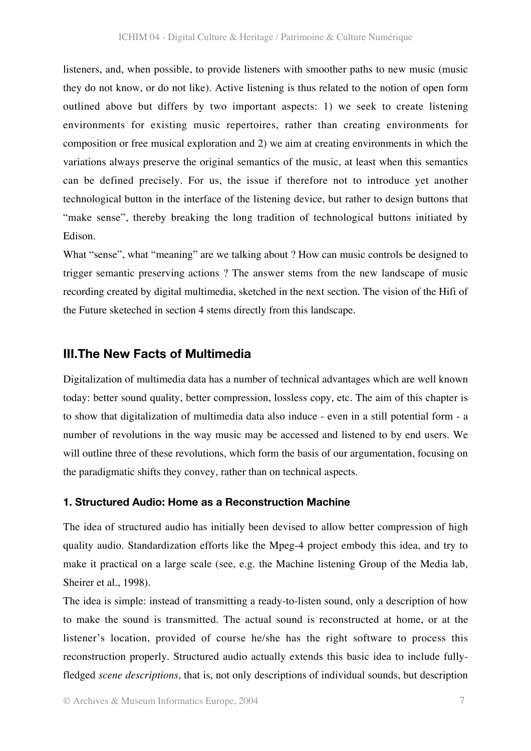listeners, and, when possible, to provide listeners with smoother paths to new music (music they do not know, or do not like). Active listening is thus related to the notion of open form outlined above but differs by two important aspects: 1) we seek to create listening environments for existing music repertoires, rather than creating environments for composition or free musical exploration and 2) we aim at creating environments in which the variations always preserve the original semantics of the music, at least when this semantics can be defined precisely. For us, the issue if therefore not to introduce yet another technological button in the interface of the listening device, but rather to design buttons that "make sense", thereby breaking the long tradition of technological buttons initiated by Edison.

What "sense", what "meaning" are we talking about ? How can music controls be designed to trigger semantic preserving actions ? The answer stems from the new landscape of music recording created by digital multimedia, sketched in the next section. The vision of the Hifi of the Future sketeched in section 4 stems directly from this landscape.

#### **III.The New Facts of Multimedia**

Digitalization of multimedia data has a number of technical advantages which are well known today: better sound quality, better compression, lossless copy, etc. The aim of this chapter is to show that digitalization of multimedia data also induce - even in a still potential form - a number of revolutions in the way music may be accessed and listened to by end users. We will outline three of these revolutions, which form the basis of our argumentation, focusing on the paradigmatic shifts they convey, rather than on technical aspects.

#### **1. Structured Audio: Home as a Reconstruction Machine**

The idea of structured audio has initially been devised to allow better compression of high quality audio. Standardization efforts like the Mpeg-4 project embody this idea, and try to make it practical on a large scale (see, e.g. the Machine listening Group of the Media lab, Sheirer et al., 1998).

The idea is simple: instead of transmitting a ready-to-listen sound, only a description of how to make the sound is transmitted. The actual sound is reconstructed at home, or at the listener's location, provided of course he/she has the right software to process this reconstruction properly. Structured audio actually extends this basic idea to include fullyfledged *scene descriptions*, that is, not only descriptions of individual sounds, but description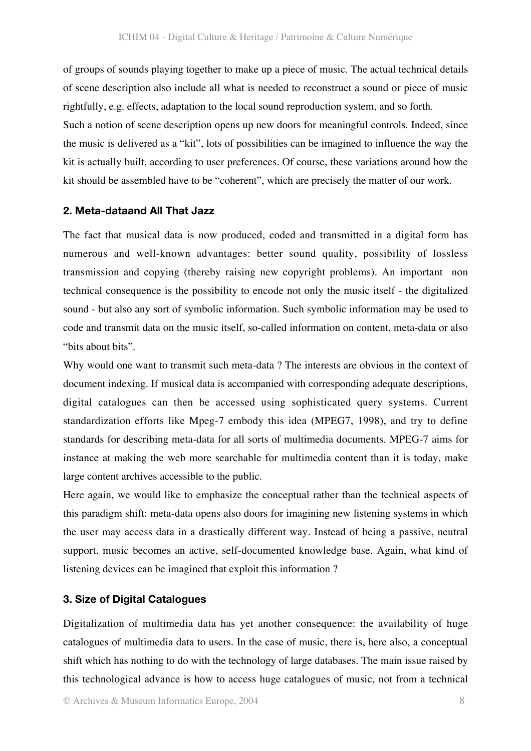of groups of sounds playing together to make up a piece of music. The actual technical details of scene description also include all what is needed to reconstruct a sound or piece of music rightfully, e.g. effects, adaptation to the local sound reproduction system, and so forth. Such a notion of scene description opens up new doors for meaningful controls. Indeed, since the music is delivered as a "kit", lots of possibilities can be imagined to influence the way the kit is actually built, according to user preferences. Of course, these variations around how the kit should be assembled have to be "coherent", which are precisely the matter of our work.

#### **2. Meta-dataand All That Jazz**

The fact that musical data is now produced, coded and transmitted in a digital form has numerous and well-known advantages: better sound quality, possibility of lossless transmission and copying (thereby raising new copyright problems). An important non technical consequence is the possibility to encode not only the music itself - the digitalized sound - but also any sort of symbolic information. Such symbolic information may be used to code and transmit data on the music itself, so-called information on content, meta-data or also "bits about bits".

Why would one want to transmit such meta-data ? The interests are obvious in the context of document indexing. If musical data is accompanied with corresponding adequate descriptions, digital catalogues can then be accessed using sophisticated query systems. Current standardization efforts like Mpeg-7 embody this idea (MPEG7, 1998), and try to define standards for describing meta-data for all sorts of multimedia documents. MPEG-7 aims for instance at making the web more searchable for multimedia content than it is today, make large content archives accessible to the public.

Here again, we would like to emphasize the conceptual rather than the technical aspects of this paradigm shift: meta-data opens also doors for imagining new listening systems in which the user may access data in a drastically different way. Instead of being a passive, neutral support, music becomes an active, self-documented knowledge base. Again, what kind of listening devices can be imagined that exploit this information ?

#### **3. Size of Digital Catalogues**

Digitalization of multimedia data has yet another consequence: the availability of huge catalogues of multimedia data to users. In the case of music, there is, here also, a conceptual shift which has nothing to do with the technology of large databases. The main issue raised by this technological advance is how to access huge catalogues of music, not from a technical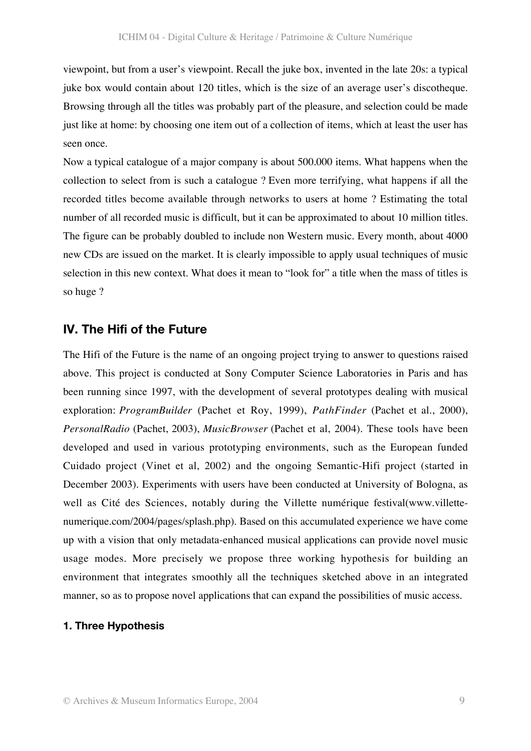viewpoint, but from a user's viewpoint. Recall the juke box, invented in the late 20s: a typical juke box would contain about 120 titles, which is the size of an average user's discotheque. Browsing through all the titles was probably part of the pleasure, and selection could be made just like at home: by choosing one item out of a collection of items, which at least the user has seen once.

Now a typical catalogue of a major company is about 500.000 items. What happens when the collection to select from is such a catalogue ? Even more terrifying, what happens if all the recorded titles become available through networks to users at home ? Estimating the total number of all recorded music is difficult, but it can be approximated to about 10 million titles. The figure can be probably doubled to include non Western music. Every month, about 4000 new CDs are issued on the market. It is clearly impossible to apply usual techniques of music selection in this new context. What does it mean to "look for" a title when the mass of titles is so huge ?

#### **IV. The Hifi of the Future**

The Hifi of the Future is the name of an ongoing project trying to answer to questions raised above. This project is conducted at Sony Computer Science Laboratories in Paris and has been running since 1997, with the development of several prototypes dealing with musical exploration: *ProgramBuilder* (Pachet et Roy, 1999), *PathFinder* (Pachet et al., 2000), *PersonalRadio* (Pachet, 2003), *MusicBrowser* (Pachet et al, 2004). These tools have been developed and used in various prototyping environments, such as the European funded Cuidado project (Vinet et al, 2002) and the ongoing Semantic-Hifi project (started in December 2003). Experiments with users have been conducted at University of Bologna, as well as Cité des Sciences, notably during the Villette numérique festival(www.villettenumerique.com/2004/pages/splash.php). Based on this accumulated experience we have come up with a vision that only metadata-enhanced musical applications can provide novel music usage modes. More precisely we propose three working hypothesis for building an environment that integrates smoothly all the techniques sketched above in an integrated manner, so as to propose novel applications that can expand the possibilities of music access.

#### **1. Three Hypothesis**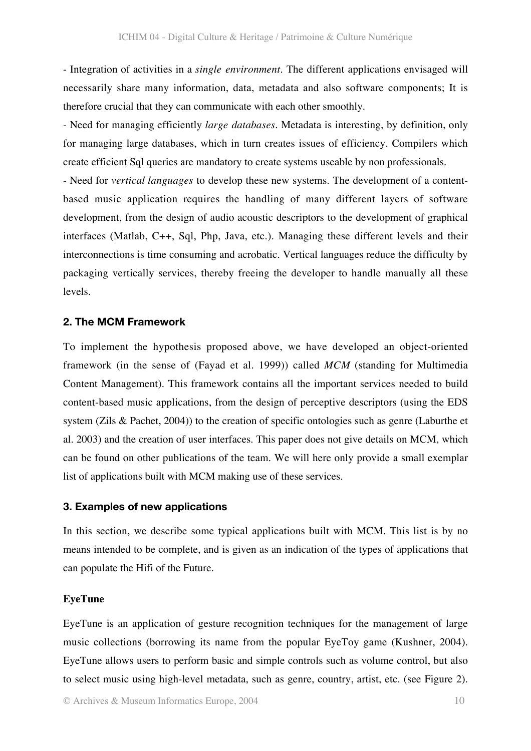- Integration of activities in a *single environment*. The different applications envisaged will necessarily share many information, data, metadata and also software components; It is therefore crucial that they can communicate with each other smoothly.

- Need for managing efficiently *large databases*. Metadata is interesting, by definition, only for managing large databases, which in turn creates issues of efficiency. Compilers which create efficient Sql queries are mandatory to create systems useable by non professionals.

- Need for *vertical languages* to develop these new systems. The development of a contentbased music application requires the handling of many different layers of software development, from the design of audio acoustic descriptors to the development of graphical interfaces (Matlab, C++, Sql, Php, Java, etc.). Managing these different levels and their interconnections is time consuming and acrobatic. Vertical languages reduce the difficulty by packaging vertically services, thereby freeing the developer to handle manually all these levels.

#### **2. The MCM Framework**

To implement the hypothesis proposed above, we have developed an object-oriented framework (in the sense of (Fayad et al. 1999)) called *MCM* (standing for Multimedia Content Management). This framework contains all the important services needed to build content-based music applications, from the design of perceptive descriptors (using the EDS system (Zils & Pachet, 2004)) to the creation of specific ontologies such as genre (Laburthe et al. 2003) and the creation of user interfaces. This paper does not give details on MCM, which can be found on other publications of the team. We will here only provide a small exemplar list of applications built with MCM making use of these services.

#### **3. Examples of new applications**

In this section, we describe some typical applications built with MCM. This list is by no means intended to be complete, and is given as an indication of the types of applications that can populate the Hifi of the Future.

#### **EyeTune**

EyeTune is an application of gesture recognition techniques for the management of large music collections (borrowing its name from the popular EyeToy game (Kushner, 2004). EyeTune allows users to perform basic and simple controls such as volume control, but also to select music using high-level metadata, such as genre, country, artist, etc. (see Figure 2).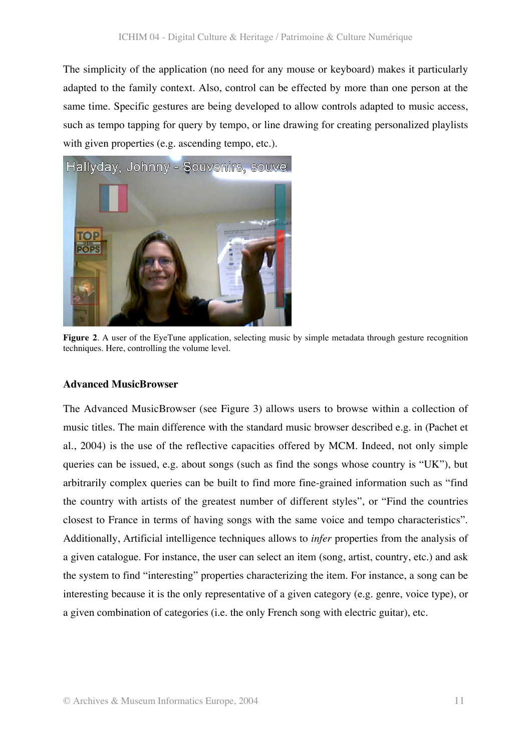The simplicity of the application (no need for any mouse or keyboard) makes it particularly adapted to the family context. Also, control can be effected by more than one person at the same time. Specific gestures are being developed to allow controls adapted to music access, such as tempo tapping for query by tempo, or line drawing for creating personalized playlists with given properties (e.g. ascending tempo, etc.).



**Figure 2.** A user of the EyeTune application, selecting music by simple metadata through gesture recognition techniques. Here, controlling the volume level.

#### **Advanced MusicBrowser**

The Advanced MusicBrowser (see Figure 3) allows users to browse within a collection of music titles. The main difference with the standard music browser described e.g. in (Pachet et al., 2004) is the use of the reflective capacities offered by MCM. Indeed, not only simple queries can be issued, e.g. about songs (such as find the songs whose country is "UK"), but arbitrarily complex queries can be built to find more fine-grained information such as "find the country with artists of the greatest number of different styles", or "Find the countries closest to France in terms of having songs with the same voice and tempo characteristics". Additionally, Artificial intelligence techniques allows to *infer* properties from the analysis of a given catalogue. For instance, the user can select an item (song, artist, country, etc.) and ask the system to find "interesting" properties characterizing the item. For instance, a song can be interesting because it is the only representative of a given category (e.g. genre, voice type), or a given combination of categories (i.e. the only French song with electric guitar), etc.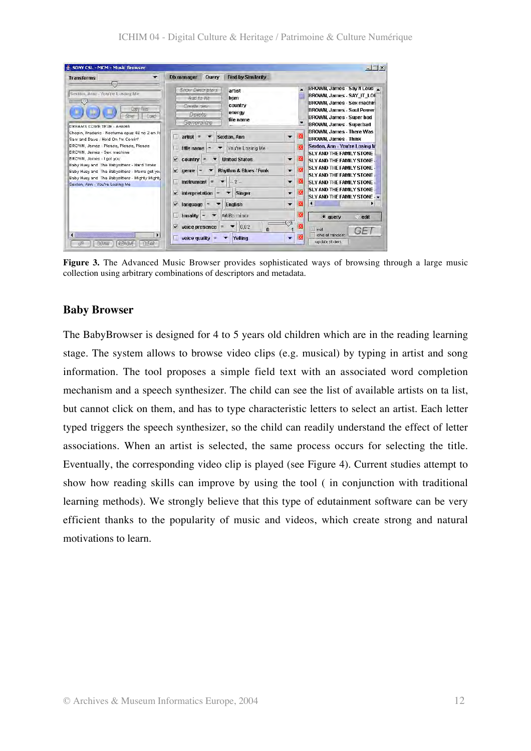| SONY CSL - MCM - Music Browser                                                                                                                                                                                                                                                                                                                                                                                                                                                                                  |                                                                       |                                                                           |                                                 |                          |                                                           | $ \Box$ $\times$                                                                                                                                                                        |
|-----------------------------------------------------------------------------------------------------------------------------------------------------------------------------------------------------------------------------------------------------------------------------------------------------------------------------------------------------------------------------------------------------------------------------------------------------------------------------------------------------------------|-----------------------------------------------------------------------|---------------------------------------------------------------------------|-------------------------------------------------|--------------------------|-----------------------------------------------------------|-----------------------------------------------------------------------------------------------------------------------------------------------------------------------------------------|
| <b>Transforms</b>                                                                                                                                                                                                                                                                                                                                                                                                                                                                                               | <b>Ob manager</b>                                                     | Query                                                                     | <b>Find by Similarity</b>                       |                          |                                                           |                                                                                                                                                                                         |
| 98<br>Sexton, Ann - You're Losing Me.<br>Copy flies<br>Load<br><b>UNIVER</b><br>DREAMS COME TRUE - AHAHA<br>Chopin, Frederic - Nocturne opus 48 no 2 en Fa<br>Sam and Dave - Hold On I'm Comin'<br>BROWN, James - Please, Please, Please<br>BROWN, James - Sex machine<br>BROWN, James - I got you<br>Baby Huey and The Babysitters - Hard Times<br>Baby Huey and The Babysitters - Mama get you<br>Baby Huey and The Babysitters - Mighty Mighty<br>Sexton, Ann - You're Losing Me.<br>REMOVE<br>CLEAR<br>DOWN | Show Descriptors<br>Add to list<br>Create new<br>Delete<br>Generalize |                                                                           | artist<br>bpm<br>country<br>energy<br>file name |                          | $\overline{\phantom{a}}$<br>$\overline{\phantom{a}}$<br>X | BROWN, James - Say It Loud<br>BROWN, James - SAY IT LOC<br>BROWN, James - Sex machin<br>BROWN, James - Soul Power<br>BROWN, James - Super bad<br><b>BROWN, James - Superbad</b>         |
|                                                                                                                                                                                                                                                                                                                                                                                                                                                                                                                 | $artist =$<br>a,                                                      |                                                                           | Sexton, Ann                                     | $\overline{\phantom{a}}$ |                                                           | BROWN, James - There Was<br><b>BROWN, James - Think</b>                                                                                                                                 |
|                                                                                                                                                                                                                                                                                                                                                                                                                                                                                                                 |                                                                       | You're Losing Me<br>title name<br>$=$                                     |                                                 |                          | K                                                         | Sexton, Ann - You're Losing M                                                                                                                                                           |
|                                                                                                                                                                                                                                                                                                                                                                                                                                                                                                                 | V<br>country                                                          | <b>United States</b><br>$\bullet$<br>$=$                                  |                                                 |                          | M                                                         | SLY AND THE FAMILY STONE<br>SLY AND THE FAMILY STONE                                                                                                                                    |
|                                                                                                                                                                                                                                                                                                                                                                                                                                                                                                                 | K<br>genre<br>$=$                                                     |                                                                           | Rhythm & Blues / Funk                           | $\mathbf{v}$             | ΙX<br>X<br>$\bullet$<br>⊠<br>$\mathbf{v}$                 | <b>SLY AND THE FAMILY STONE</b><br><b>SLY AND THE FAMILY STONE</b><br>SLY AND THE FAMILY STONE<br>SLY AND THE FAMILY STONE<br>SLY AND THE FAMILY STONE -<br>$\bullet$ query<br>$O$ edit |
|                                                                                                                                                                                                                                                                                                                                                                                                                                                                                                                 | <b>instrument</b>                                                     | $=$                                                                       | $-7-$                                           |                          |                                                           |                                                                                                                                                                                         |
|                                                                                                                                                                                                                                                                                                                                                                                                                                                                                                                 | interpretation<br>N                                                   | $=$                                                                       | <b>Singer</b>                                   |                          |                                                           |                                                                                                                                                                                         |
|                                                                                                                                                                                                                                                                                                                                                                                                                                                                                                                 | N<br>language                                                         | $=$                                                                       | English                                         | $\overline{\mathbf{v}}$  |                                                           |                                                                                                                                                                                         |
|                                                                                                                                                                                                                                                                                                                                                                                                                                                                                                                 | 凬<br>tonality                                                         | $\overline{\phantom{a}}$<br>=                                             | A#/Bb minor                                     |                          |                                                           |                                                                                                                                                                                         |
|                                                                                                                                                                                                                                                                                                                                                                                                                                                                                                                 | v                                                                     | voice presence<br>0.82<br>$\mathbf{n}$<br>voice quality<br>Yelling<br>l'= |                                                 | いす<br>$\bullet$          |                                                           | not<br>$5 -$<br>one at random<br>update sliders.                                                                                                                                        |

**Figure 3.** The Advanced Music Browser provides sophisticated ways of browsing through a large music collection using arbitrary combinations of descriptors and metadata.

#### **Baby Browser**

The BabyBrowser is designed for 4 to 5 years old children which are in the reading learning stage. The system allows to browse video clips (e.g. musical) by typing in artist and song information. The tool proposes a simple field text with an associated word completion mechanism and a speech synthesizer. The child can see the list of available artists on ta list, but cannot click on them, and has to type characteristic letters to select an artist. Each letter typed triggers the speech synthesizer, so the child can readily understand the effect of letter associations. When an artist is selected, the same process occurs for selecting the title. Eventually, the corresponding video clip is played (see Figure 4). Current studies attempt to show how reading skills can improve by using the tool ( in conjunction with traditional learning methods). We strongly believe that this type of edutainment software can be very efficient thanks to the popularity of music and videos, which create strong and natural motivations to learn.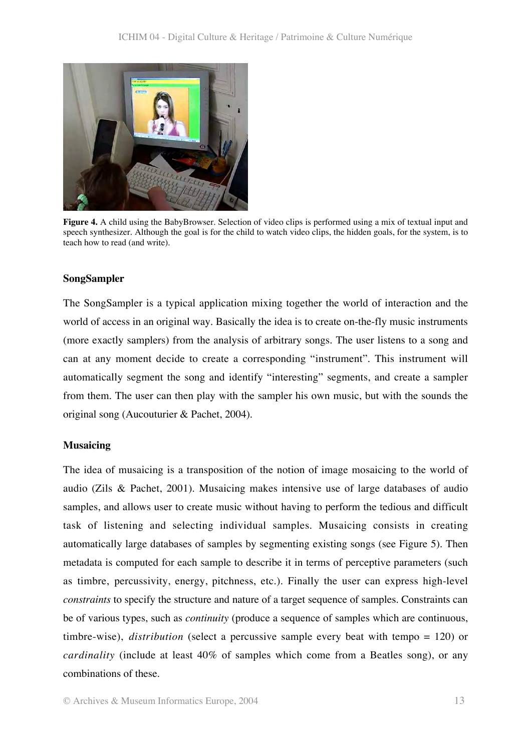

**Figure 4.** A child using the BabyBrowser. Selection of video clips is performed using a mix of textual input and speech synthesizer. Although the goal is for the child to watch video clips, the hidden goals, for the system, is to teach how to read (and write).

#### **SongSampler**

The SongSampler is a typical application mixing together the world of interaction and the world of access in an original way. Basically the idea is to create on-the-fly music instruments (more exactly samplers) from the analysis of arbitrary songs. The user listens to a song and can at any moment decide to create a corresponding "instrument". This instrument will automatically segment the song and identify "interesting" segments, and create a sampler from them. The user can then play with the sampler his own music, but with the sounds the original song (Aucouturier & Pachet, 2004).

#### **Musaicing**

The idea of musaicing is a transposition of the notion of image mosaicing to the world of audio (Zils & Pachet, 2001). Musaicing makes intensive use of large databases of audio samples, and allows user to create music without having to perform the tedious and difficult task of listening and selecting individual samples. Musaicing consists in creating automatically large databases of samples by segmenting existing songs (see Figure 5). Then metadata is computed for each sample to describe it in terms of perceptive parameters (such as timbre, percussivity, energy, pitchness, etc.). Finally the user can express high-level *constraints* to specify the structure and nature of a target sequence of samples. Constraints can be of various types, such as *continuity* (produce a sequence of samples which are continuous, timbre-wise), *distribution* (select a percussive sample every beat with tempo = 120) or *cardinality* (include at least 40% of samples which come from a Beatles song), or any combinations of these.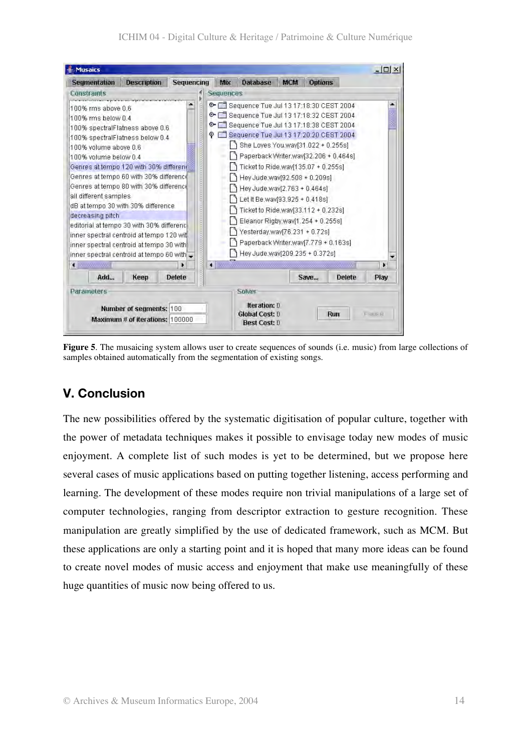

**Figure 5**. The musaicing system allows user to create sequences of sounds (i.e. music) from large collections of samples obtained automatically from the segmentation of existing songs.

# **V. Conclusion**

The new possibilities offered by the systematic digitisation of popular culture, together with the power of metadata techniques makes it possible to envisage today new modes of music enjoyment. A complete list of such modes is yet to be determined, but we propose here several cases of music applications based on putting together listening, access performing and learning. The development of these modes require non trivial manipulations of a large set of computer technologies, ranging from descriptor extraction to gesture recognition. These manipulation are greatly simplified by the use of dedicated framework, such as MCM. But these applications are only a starting point and it is hoped that many more ideas can be found to create novel modes of music access and enjoyment that make use meaningfully of these huge quantities of music now being offered to us.